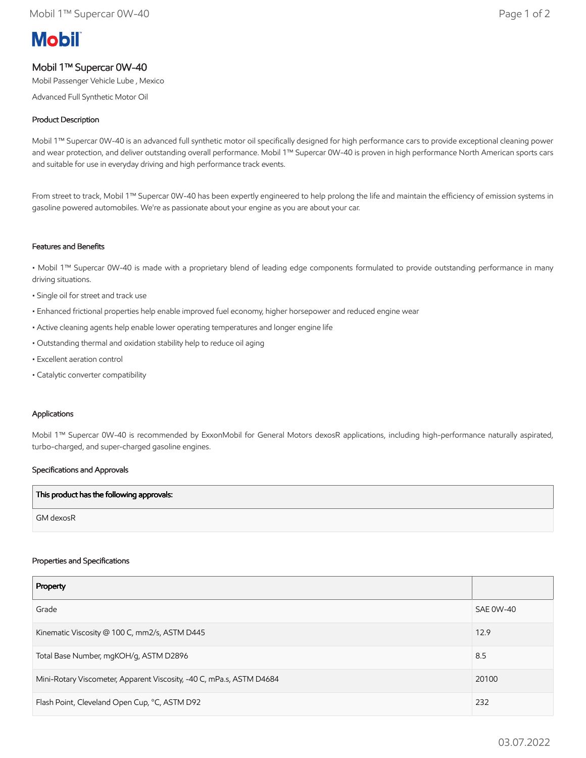# **Mobil**

## Mobil 1™ Supercar 0W-40

Mobil Passenger Vehicle Lube , Mexico

Advanced Full Synthetic Motor Oil

### Product Description

Mobil 1™ Supercar 0W-40 is an advanced full synthetic motor oil specifically designed for high performance cars to provide exceptional cleaning power and wear protection, and deliver outstanding overall performance. Mobil 1™ Supercar 0W-40 is proven in high performance North American sports cars and suitable for use in everyday driving and high performance track events.

From street to track, Mobil 1™ Supercar 0W-40 has been expertly engineered to help prolong the life and maintain the efficiency of emission systems in gasoline powered automobiles. We're as passionate about your engine as you are about your car.

#### Features and Benefits

• Mobil 1™ Supercar 0W-40 is made with a proprietary blend of leading edge components formulated to provide outstanding performance in many driving situations.

• Single oil for street and track use

- Enhanced frictional properties help enable improved fuel economy, higher horsepower and reduced engine wear
- Active cleaning agents help enable lower operating temperatures and longer engine life
- Outstanding thermal and oxidation stability help to reduce oil aging
- Excellent aeration control
- Catalytic converter compatibility

#### Applications

Mobil 1™ Supercar 0W-40 is recommended by ExxonMobil for General Motors dexosR applications, including high-performance naturally aspirated, turbo-charged, and super-charged gasoline engines.

#### Specifications and Approvals

| This product has the following approvals: |  |
|-------------------------------------------|--|
| GM dexosR                                 |  |

#### Properties and Specifications

| Property                                                             |                  |
|----------------------------------------------------------------------|------------------|
| Grade                                                                | <b>SAE 0W-40</b> |
| Kinematic Viscosity @ 100 C, mm2/s, ASTM D445                        | 12.9             |
| Total Base Number, mgKOH/g, ASTM D2896                               | 8.5              |
| Mini-Rotary Viscometer, Apparent Viscosity, -40 C, mPa.s, ASTM D4684 | 20100            |
| Flash Point, Cleveland Open Cup, °C, ASTM D92                        | 232              |